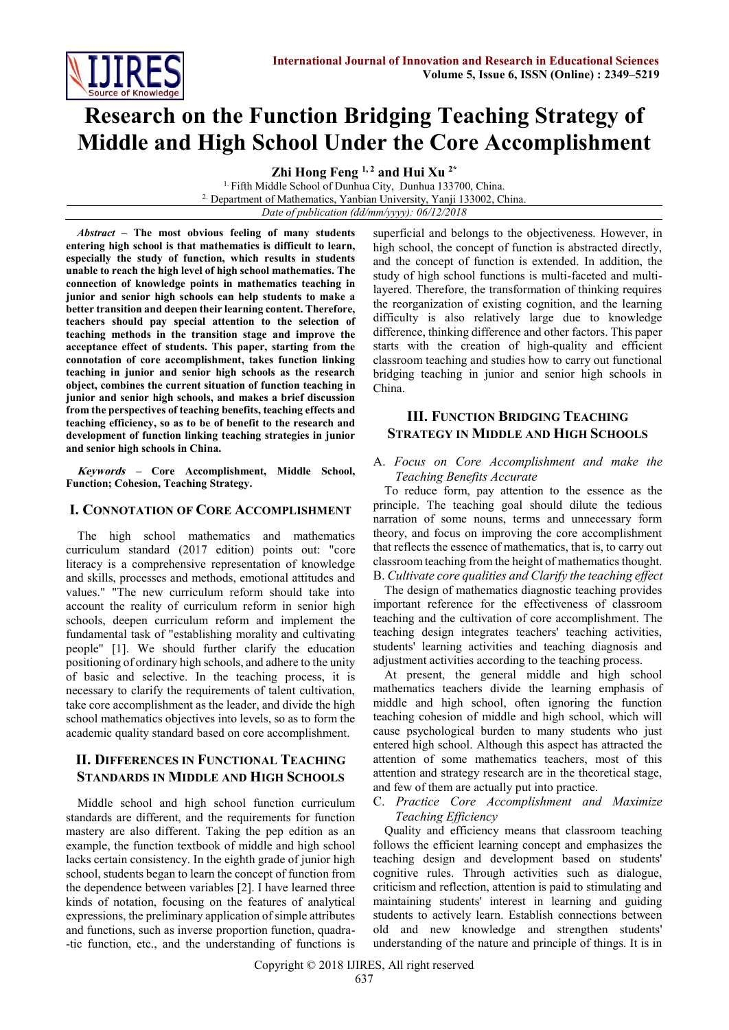

# **Research on the Function Bridging Teaching Strategy of Middle and High School Under the Core Accomplishment**

**Zhi Hong Feng 1, 2 and Hui Xu 2\***

<sup>1.</sup> Fifth Middle School of Dunhua City, Dunhua 133700, China. 2. Department of Mathematics, Yanbian University, Yanji 133002, China. *Date of publication (dd/mm/yyyy): 06/12/2018*

*Abstract* **– The most obvious feeling of many students entering high school is that mathematics is difficult to learn, especially the study of function, which results in students unable to reach the high level of high school mathematics. The connection of knowledge points in mathematics teaching in junior and senior high schools can help students to make a better transition and deepen their learning content. Therefore, teachers should pay special attention to the selection of teaching methods in the transition stage and improve the acceptance effect of students. This paper, starting from the connotation of core accomplishment, takes function linking teaching in junior and senior high schools as the research object, combines the current situation of function teaching in junior and senior high schools, and makes a brief discussion from the perspectives of teaching benefits, teaching effects and teaching efficiency, so as to be of benefit to the research and development of function linking teaching strategies in junior and senior high schools in China.**

**Keywords – Core Accomplishment, Middle School, Function; Cohesion, Teaching Strategy.**

# **I. CONNOTATION OF CORE ACCOMPLISHMENT**

The high school mathematics and mathematics curriculum standard (2017 edition) points out: "core literacy is a comprehensive representation of knowledge and skills, processes and methods, emotional attitudes and values." "The new curriculum reform should take into account the reality of curriculum reform in senior high schools, deepen curriculum reform and implement the fundamental task of "establishing morality and cultivating people" [1]. We should further clarify the education positioning of ordinary high schools, and adhere to the unity of basic and selective. In the teaching process, it is necessary to clarify the requirements of talent cultivation, take core accomplishment as the leader, and divide the high school mathematics objectives into levels, so as to form the academic quality standard based on core accomplishment.

# **II. DIFFERENCES IN FUNCTIONAL TEACHING STANDARDS IN MIDDLE AND HIGH SCHOOLS**

Middle school and high school function curriculum standards are different, and the requirements for function mastery are also different. Taking the pep edition as an example, the function textbook of middle and high school lacks certain consistency. In the eighth grade of junior high school, students began to learn the concept of function from the dependence between variables [2]. I have learned three kinds of notation, focusing on the features of analytical expressions, the preliminary application of simple attributes and functions, such as inverse proportion function, quadra- -tic function, etc., and the understanding of functions is superficial and belongs to the objectiveness. However, in high school, the concept of function is abstracted directly, and the concept of function is extended. In addition, the study of high school functions is multi-faceted and multilayered. Therefore, the transformation of thinking requires the reorganization of existing cognition, and the learning difficulty is also relatively large due to knowledge difference, thinking difference and other factors. This paper starts with the creation of high-quality and efficient classroom teaching and studies how to carry out functional bridging teaching in junior and senior high schools in China.

# **III. FUNCTION BRIDGING TEACHING STRATEGY IN MIDDLE AND HIGH SCHOOLS**

## A. *Focus on Core Accomplishment and make the Teaching Benefits Accurate*

To reduce form, pay attention to the essence as the principle. The teaching goal should dilute the tedious narration of some nouns, terms and unnecessary form theory, and focus on improving the core accomplishment that reflects the essence of mathematics, that is, to carry out classroom teaching from the height of mathematics thought. B. *Cultivate core qualities and Clarify the teaching effect*

The design of mathematics diagnostic teaching provides important reference for the effectiveness of classroom teaching and the cultivation of core accomplishment. The teaching design integrates teachers' teaching activities, students' learning activities and teaching diagnosis and adjustment activities according to the teaching process.

At present, the general middle and high school mathematics teachers divide the learning emphasis of middle and high school, often ignoring the function teaching cohesion of middle and high school, which will cause psychological burden to many students who just entered high school. Although this aspect has attracted the attention of some mathematics teachers, most of this attention and strategy research are in the theoretical stage, and few of them are actually put into practice.

## C. *Practice Core Accomplishment and Maximize Teaching Efficiency*

Quality and efficiency means that classroom teaching follows the efficient learning concept and emphasizes the teaching design and development based on students' cognitive rules. Through activities such as dialogue, criticism and reflection, attention is paid to stimulating and maintaining students' interest in learning and guiding students to actively learn. Establish connections between old and new knowledge and strengthen students' understanding of the nature and principle of things. It is in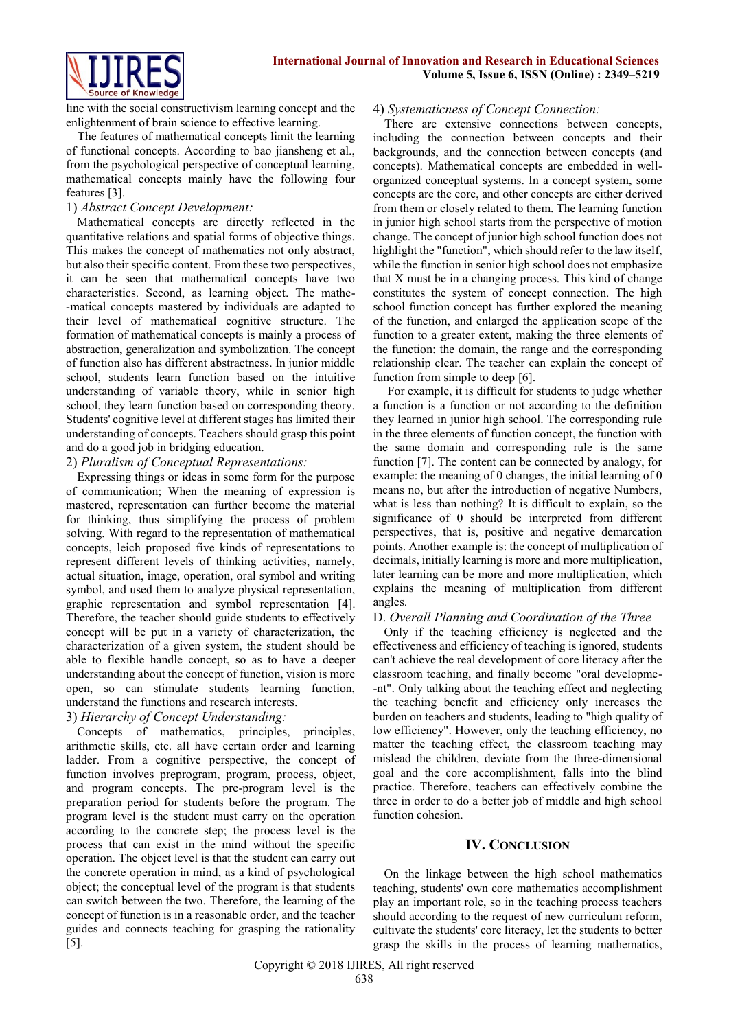

line with the social constructivism learning concept and the enlightenment of brain science to effective learning.

The features of mathematical concepts limit the learning of functional concepts. According to bao jiansheng et al., from the psychological perspective of conceptual learning, mathematical concepts mainly have the following four features [3].

# 1) *Abstract Concept Development:*

Mathematical concepts are directly reflected in the quantitative relations and spatial forms of objective things. This makes the concept of mathematics not only abstract, but also their specific content. From these two perspectives, it can be seen that mathematical concepts have two characteristics. Second, as learning object. The mathe- -matical concepts mastered by individuals are adapted to their level of mathematical cognitive structure. The formation of mathematical concepts is mainly a process of abstraction, generalization and symbolization. The concept of function also has different abstractness. In junior middle school, students learn function based on the intuitive understanding of variable theory, while in senior high school, they learn function based on corresponding theory. Students' cognitive level at different stages has limited their understanding of concepts. Teachers should grasp this point and do a good job in bridging education.

# 2) *Pluralism of Conceptual Representations:*

Expressing things or ideas in some form for the purpose of communication; When the meaning of expression is mastered, representation can further become the material for thinking, thus simplifying the process of problem solving. With regard to the representation of mathematical concepts, leich proposed five kinds of representations to represent different levels of thinking activities, namely, actual situation, image, operation, oral symbol and writing symbol, and used them to analyze physical representation, graphic representation and symbol representation [4]. Therefore, the teacher should guide students to effectively concept will be put in a variety of characterization, the characterization of a given system, the student should be able to flexible handle concept, so as to have a deeper understanding about the concept of function, vision is more open, so can stimulate students learning function, understand the functions and research interests.

# 3) *Hierarchy of Concept Understanding:*

Concepts of mathematics, principles, principles, arithmetic skills, etc. all have certain order and learning ladder. From a cognitive perspective, the concept of function involves preprogram, program, process, object, and program concepts. The pre-program level is the preparation period for students before the program. The program level is the student must carry on the operation according to the concrete step; the process level is the process that can exist in the mind without the specific operation. The object level is that the student can carry out the concrete operation in mind, as a kind of psychological object; the conceptual level of the program is that students can switch between the two. Therefore, the learning of the concept of function is in a reasonable order, and the teacher guides and connects teaching for grasping the rationality [5].

## 4) *Systematicness of Concept Connection:*

There are extensive connections between concepts, including the connection between concepts and their backgrounds, and the connection between concepts (and concepts). Mathematical concepts are embedded in wellorganized conceptual systems. In a concept system, some concepts are the core, and other concepts are either derived from them or closely related to them. The learning function in junior high school starts from the perspective of motion change. The concept of junior high school function does not highlight the "function", which should refer to the law itself. while the function in senior high school does not emphasize that X must be in a changing process. This kind of change constitutes the system of concept connection. The high school function concept has further explored the meaning of the function, and enlarged the application scope of the function to a greater extent, making the three elements of the function: the domain, the range and the corresponding relationship clear. The teacher can explain the concept of function from simple to deep [6].

For example, it is difficult for students to judge whether a function is a function or not according to the definition they learned in junior high school. The corresponding rule in the three elements of function concept, the function with the same domain and corresponding rule is the same function [7]. The content can be connected by analogy, for example: the meaning of 0 changes, the initial learning of 0 means no, but after the introduction of negative Numbers, what is less than nothing? It is difficult to explain, so the significance of 0 should be interpreted from different perspectives, that is, positive and negative demarcation points. Another example is: the concept of multiplication of decimals, initially learning is more and more multiplication, later learning can be more and more multiplication, which explains the meaning of multiplication from different angles.

## D. *Overall Planning and Coordination of the Three*

Only if the teaching efficiency is neglected and the effectiveness and efficiency of teaching is ignored, students can't achieve the real development of core literacy after the classroom teaching, and finally become "oral developme- -nt". Only talking about the teaching effect and neglecting the teaching benefit and efficiency only increases the burden on teachers and students, leading to "high quality of low efficiency". However, only the teaching efficiency, no matter the teaching effect, the classroom teaching may mislead the children, deviate from the three-dimensional goal and the core accomplishment, falls into the blind practice. Therefore, teachers can effectively combine the three in order to do a better job of middle and high school function cohesion.

## **IV. CONCLUSION**

On the linkage between the high school mathematics teaching, students' own core mathematics accomplishment play an important role, so in the teaching process teachers should according to the request of new curriculum reform, cultivate the students' core literacy, let the students to better grasp the skills in the process of learning mathematics,